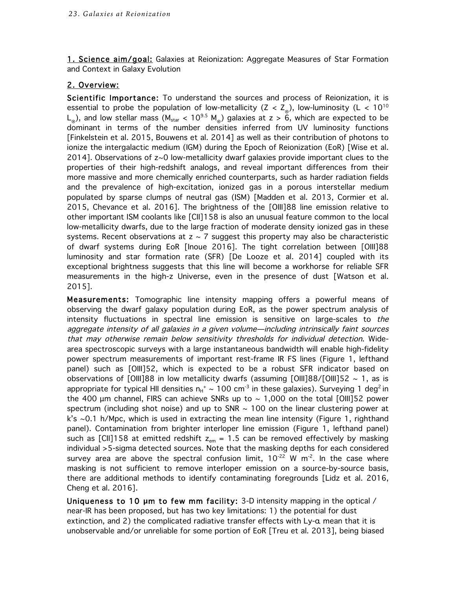1. Science aim/goal: Galaxies at Reionization: Aggregate Measures of Star Formation and Context in Galaxy Evolution

## 2. Overview:

Scientific Importance: To understand the sources and process of Reionization, it is essential to probe the population of low-metallicity ( $Z < Z_{\odot}$ ), low-luminosity (L < 10<sup>10</sup>  $L_{\odot}$ ), and low stellar mass (M<sub>star</sub> < 10<sup>9.5</sup> M<sub>o</sub>) galaxies at z > 6, which are expected to be dominant in terms of the number densities inferred from UV luminosity functions [Finkelstein et al. 2015, Bouwens et al. 2014] as well as their contribution of photons to ionize the intergalactic medium (IGM) during the Epoch of Reionization (EoR) [Wise et al. 2014]. Observations of z~0 low-metallicity dwarf galaxies provide important clues to the properties of their high-redshift analogs, and reveal important differences from their more massive and more chemically enriched counterparts, such as harder radiation fields and the prevalence of high-excitation, ionized gas in a porous interstellar medium populated by sparse clumps of neutral gas (ISM) [Madden et al. 2013, Cormier et al. 2015, Chevance et al. 2016]. The brightness of the [OIII]88 line emission relative to other important ISM coolants like [CII]158 is also an unusual feature common to the local low-metallicity dwarfs, due to the large fraction of moderate density ionized gas in these systems. Recent observations at  $z \sim 7$  suggest this property may also be characteristic of dwarf systems during EoR [Inoue 2016]. The tight correlation between [OIII]88 luminosity and star formation rate (SFR) [De Looze et al. 2014] coupled with its exceptional brightness suggests that this line will become a workhorse for reliable SFR measurements in the high-z Universe, even in the presence of dust [Watson et al. 2015].

Measurements: Tomographic line intensity mapping offers a powerful means of observing the dwarf galaxy population during EoR, as the power spectrum analysis of intensity fluctuations in spectral line emission is sensitive on large-scales to the aggregate intensity of all galaxies in a given volume—including intrinsically faint sources that may otherwise remain below sensitivity thresholds for individual detection. Widearea spectroscopic surveys with a large instantaneous bandwidth will enable high-fidelity power spectrum measurements of important rest-frame IR FS lines (Figure 1, lefthand panel) such as [OIII]52, which is expected to be a robust SFR indicator based on observations of  $[OIII]88$  in low metallicity dwarfs (assuming  $[OIII]88/[OIII]52 \sim 1$ , as is appropriate for typical HII densities  $n_{\text{H}}^+ \sim 100$  cm<sup>-3</sup> in these galaxies). Surveying 1 deg<sup>2</sup> in the 400 µm channel, FIRS can achieve SNRs up to  $\sim$  1,000 on the total [OIII]52 power spectrum (including shot noise) and up to SNR  $\sim$  100 on the linear clustering power at  $k$ 's  $\sim$  0.1 h/Mpc, which is used in extracting the mean line intensity (Figure 1, righthand panel). Contamination from brighter interloper line emission (Figure 1, lefthand panel) such as [CII]158 at emitted redshift  $z_{em} = 1.5$  can be removed effectively by masking individual >5-sigma detected sources. Note that the masking depths for each considered survey area are above the spectral confusion limit,  $10^{-22}$  W m<sup>-2</sup>. In the case where masking is not sufficient to remove interloper emission on a source-by-source basis, there are additional methods to identify contaminating foregrounds [Lidz et al. 2016, Cheng et al. 2016].

Uniqueness to 10 um to few mm facility: 3-D intensity mapping in the optical / near-IR has been proposed, but has two key limitations: 1) the potential for dust extinction, and 2) the complicated radiative transfer effects with Ly-α mean that it is unobservable and/or unreliable for some portion of EoR [Treu et al. 2013], being biased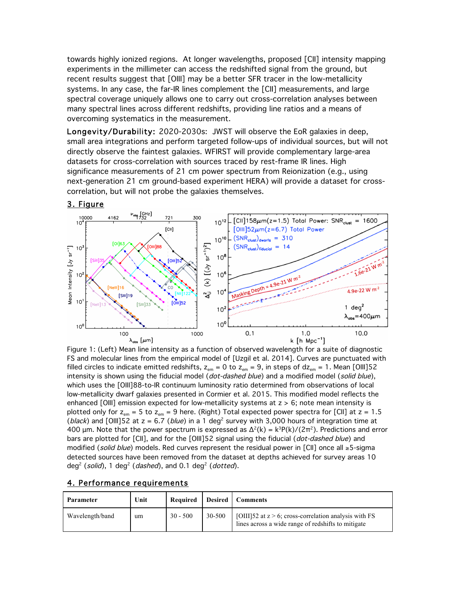towards highly ionized regions. At longer wavelengths, proposed [CII] intensity mapping experiments in the millimeter can access the redshifted signal from the ground, but recent results suggest that [OIII] may be a better SFR tracer in the low-metallicity systems. In any case, the far-IR lines complement the [CII] measurements, and large spectral coverage uniquely allows one to carry out cross-correlation analyses between many spectral lines across different redshifts, providing line ratios and a means of overcoming systematics in the measurement.

Longevity/Durability: 2020-2030s: JWST will observe the EoR galaxies in deep, small area integrations and perform targeted follow-ups of individual sources, but will not directly observe the faintest galaxies. WFIRST will provide complementary large-area datasets for cross-correlation with sources traced by rest-frame IR lines. High significance measurements of 21 cm power spectrum from Reionization (e.g., using next-generation 21 cm ground-based experiment HERA) will provide a dataset for crosscorrelation, but will not probe the galaxies themselves.



Figure 1: (Left) Mean line intensity as a function of observed wavelength for a suite of diagnostic FS and molecular lines from the empirical model of [Uzgil et al. 2014]. Curves are punctuated with filled circles to indicate emitted redshifts,  $z_{em} = 0$  to  $z_{em} = 9$ , in steps of  $dz_{em} = 1$ . Mean [OIII]52 intensity is shown using the fiducial model (dot-dashed blue) and a modified model (solid blue), which uses the [OIII]88-to-IR continuum luminosity ratio determined from observations of local low-metallicity dwarf galaxies presented in Cormier et al. 2015. This modified model reflects the enhanced [OIII] emission expected for low-metallicity systems at z > 6; note mean intensity is plotted only for  $z_{em} = 5$  to  $z_{em} = 9$  here. (Right) Total expected power spectra for [CII] at  $z = 1.5$ (black) and [OIII]52 at  $z = 6.7$  (blue) in a 1 deg<sup>2</sup> survey with 3,000 hours of integration time at 400 μm. Note that the power spectrum is expressed as  $\Delta^2(k) = k^3 P(k)/(2\pi^2)$ . Predictions and error bars are plotted for [CII], and for the [OIII]52 signal using the fiducial (dot-dashed blue) and modified (solid blue) models. Red curves represent the residual power in [CII] once all ≥5-sigma detected sources have been removed from the dataset at depths achieved for survey areas 10 deg<sup>2</sup> (solid), 1 deg<sup>2</sup> (dashed), and 0.1 deg<sup>2</sup> (dotted).

| Parameter       | Unit | Required   |        | Desired   Comments                                                                                             |
|-----------------|------|------------|--------|----------------------------------------------------------------------------------------------------------------|
| Wavelength/band | um   | $30 - 500$ | 30-500 | [OIII]52 at $z > 6$ ; cross-correlation analysis with FS<br>lines across a wide range of redshifts to mitigate |

## 4. Performance requirements